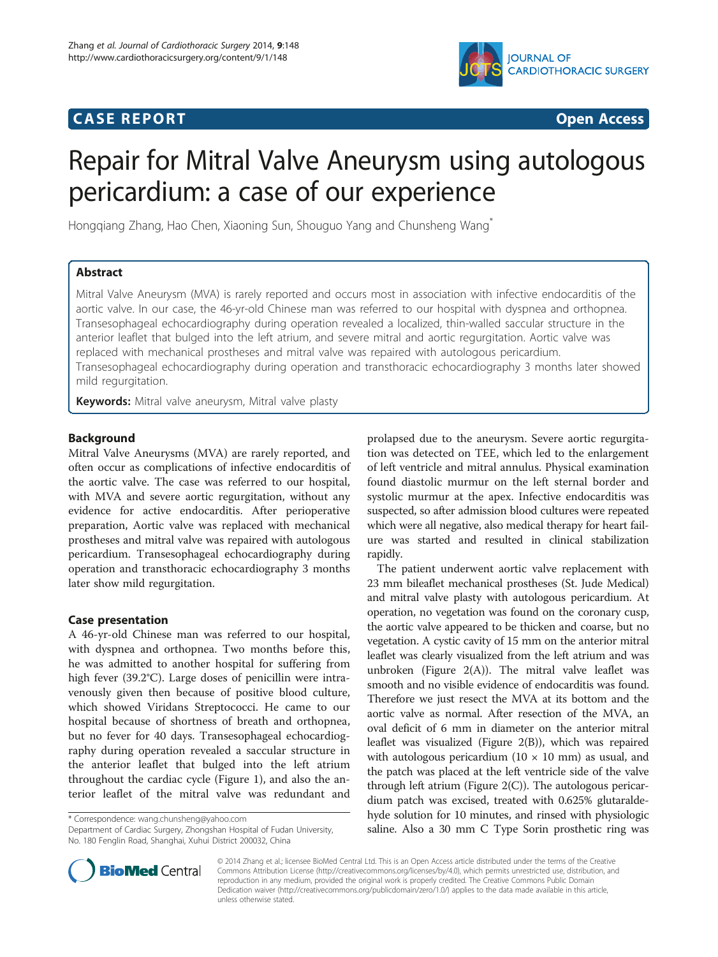# **CASE REPORT CASE REPORT CASE REPORT**



# Repair for Mitral Valve Aneurysm using autologous pericardium: a case of our experience

Hongqiang Zhang, Hao Chen, Xiaoning Sun, Shouguo Yang and Chunsheng Wang\*

# Abstract

Mitral Valve Aneurysm (MVA) is rarely reported and occurs most in association with infective endocarditis of the aortic valve. In our case, the 46-yr-old Chinese man was referred to our hospital with dyspnea and orthopnea. Transesophageal echocardiography during operation revealed a localized, thin-walled saccular structure in the anterior leaflet that bulged into the left atrium, and severe mitral and aortic regurgitation. Aortic valve was replaced with mechanical prostheses and mitral valve was repaired with autologous pericardium. Transesophageal echocardiography during operation and transthoracic echocardiography 3 months later showed mild regurgitation.

Keywords: Mitral valve aneurysm, Mitral valve plasty

# Background

Mitral Valve Aneurysms (MVA) are rarely reported, and often occur as complications of infective endocarditis of the aortic valve. The case was referred to our hospital, with MVA and severe aortic regurgitation, without any evidence for active endocarditis. After perioperative preparation, Aortic valve was replaced with mechanical prostheses and mitral valve was repaired with autologous pericardium. Transesophageal echocardiography during operation and transthoracic echocardiography 3 months later show mild regurgitation.

# Case presentation

A 46-yr-old Chinese man was referred to our hospital, with dyspnea and orthopnea. Two months before this, he was admitted to another hospital for suffering from high fever (39.2°C). Large doses of penicillin were intravenously given then because of positive blood culture, which showed Viridans Streptococci. He came to our hospital because of shortness of breath and orthopnea, but no fever for 40 days. Transesophageal echocardiography during operation revealed a saccular structure in the anterior leaflet that bulged into the left atrium throughout the cardiac cycle (Figure [1](#page-1-0)), and also the anterior leaflet of the mitral valve was redundant and

\* Correspondence: [wang.chunsheng@yahoo.com](mailto:wang.chunsheng@yahoo.com)

Department of Cardiac Surgery, Zhongshan Hospital of Fudan University, No. 180 Fenglin Road, Shanghai, Xuhui District 200032, China

prolapsed due to the aneurysm. Severe aortic regurgitation was detected on TEE, which led to the enlargement of left ventricle and mitral annulus. Physical examination found diastolic murmur on the left sternal border and systolic murmur at the apex. Infective endocarditis was suspected, so after admission blood cultures were repeated which were all negative, also medical therapy for heart failure was started and resulted in clinical stabilization rapidly.

The patient underwent aortic valve replacement with 23 mm bileaflet mechanical prostheses (St. Jude Medical) and mitral valve plasty with autologous pericardium. At operation, no vegetation was found on the coronary cusp, the aortic valve appeared to be thicken and coarse, but no vegetation. A cystic cavity of 15 mm on the anterior mitral leaflet was clearly visualized from the left atrium and was unbroken (Figure [2](#page-2-0)(A)). The mitral valve leaflet was smooth and no visible evidence of endocarditis was found. Therefore we just resect the MVA at its bottom and the aortic valve as normal. After resection of the MVA, an oval deficit of 6 mm in diameter on the anterior mitral leaflet was visualized (Figure [2\(](#page-2-0)B)), which was repaired with autologous pericardium  $(10 \times 10 \text{ mm})$  as usual, and the patch was placed at the left ventricle side of the valve through left atrium (Figure [2](#page-2-0)(C)). The autologous pericardium patch was excised, treated with 0.625% glutaraldehyde solution for 10 minutes, and rinsed with physiologic saline. Also a 30 mm C Type Sorin prosthetic ring was



© 2014 Zhang et al.; licensee BioMed Central Ltd. This is an Open Access article distributed under the terms of the Creative Commons Attribution License [\(http://creativecommons.org/licenses/by/4.0\)](http://creativecommons.org/licenses/by/4.0), which permits unrestricted use, distribution, and reproduction in any medium, provided the original work is properly credited. The Creative Commons Public Domain Dedication waiver [\(http://creativecommons.org/publicdomain/zero/1.0/](http://creativecommons.org/publicdomain/zero/1.0/)) applies to the data made available in this article, unless otherwise stated.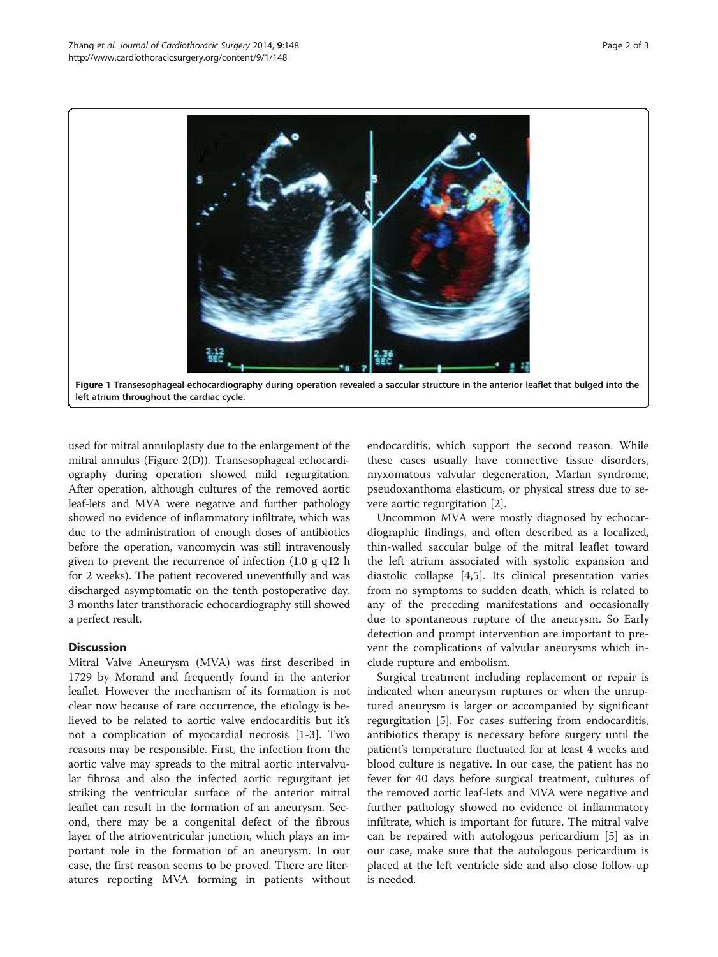<span id="page-1-0"></span>

used for mitral annuloplasty due to the enlargement of the mitral annulus (Figure [2](#page-2-0)(D)). Transesophageal echocardiography during operation showed mild regurgitation. After operation, although cultures of the removed aortic leaf-lets and MVA were negative and further pathology showed no evidence of inflammatory infiltrate, which was due to the administration of enough doses of antibiotics before the operation, vancomycin was still intravenously given to prevent the recurrence of infection (1.0 g q12 h for 2 weeks). The patient recovered uneventfully and was discharged asymptomatic on the tenth postoperative day. 3 months later transthoracic echocardiography still showed a perfect result.

# **Discussion**

Mitral Valve Aneurysm (MVA) was first described in 1729 by Morand and frequently found in the anterior leaflet. However the mechanism of its formation is not clear now because of rare occurrence, the etiology is believed to be related to aortic valve endocarditis but it's not a complication of myocardial necrosis [\[1](#page-2-0)-[3\]](#page-2-0). Two reasons may be responsible. First, the infection from the aortic valve may spreads to the mitral aortic intervalvular fibrosa and also the infected aortic regurgitant jet striking the ventricular surface of the anterior mitral leaflet can result in the formation of an aneurysm. Second, there may be a congenital defect of the fibrous layer of the atrioventricular junction, which plays an important role in the formation of an aneurysm. In our case, the first reason seems to be proved. There are literatures reporting MVA forming in patients without

endocarditis, which support the second reason. While these cases usually have connective tissue disorders, myxomatous valvular degeneration, Marfan syndrome, pseudoxanthoma elasticum, or physical stress due to severe aortic regurgitation [\[2](#page-2-0)].

Uncommon MVA were mostly diagnosed by echocardiographic findings, and often described as a localized, thin-walled saccular bulge of the mitral leaflet toward the left atrium associated with systolic expansion and diastolic collapse [\[4](#page-2-0),[5](#page-2-0)]. Its clinical presentation varies from no symptoms to sudden death, which is related to any of the preceding manifestations and occasionally due to spontaneous rupture of the aneurysm. So Early detection and prompt intervention are important to prevent the complications of valvular aneurysms which include rupture and embolism.

Surgical treatment including replacement or repair is indicated when aneurysm ruptures or when the unruptured aneurysm is larger or accompanied by significant regurgitation [[5\]](#page-2-0). For cases suffering from endocarditis, antibiotics therapy is necessary before surgery until the patient's temperature fluctuated for at least 4 weeks and blood culture is negative. In our case, the patient has no fever for 40 days before surgical treatment, cultures of the removed aortic leaf-lets and MVA were negative and further pathology showed no evidence of inflammatory infiltrate, which is important for future. The mitral valve can be repaired with autologous pericardium [[5\]](#page-2-0) as in our case, make sure that the autologous pericardium is placed at the left ventricle side and also close follow-up is needed.